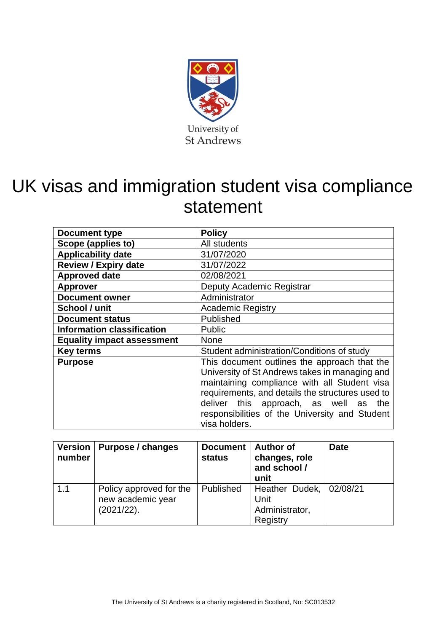

# UK visas and immigration student visa compliance statement

| <b>Document type</b>              | <b>Policy</b>                                                                                                                                                                                                                                                                                                  |  |  |
|-----------------------------------|----------------------------------------------------------------------------------------------------------------------------------------------------------------------------------------------------------------------------------------------------------------------------------------------------------------|--|--|
| Scope (applies to)                | All students                                                                                                                                                                                                                                                                                                   |  |  |
| <b>Applicability date</b>         | 31/07/2020                                                                                                                                                                                                                                                                                                     |  |  |
| <b>Review / Expiry date</b>       | 31/07/2022                                                                                                                                                                                                                                                                                                     |  |  |
| <b>Approved date</b>              | 02/08/2021                                                                                                                                                                                                                                                                                                     |  |  |
| <b>Approver</b>                   | Deputy Academic Registrar                                                                                                                                                                                                                                                                                      |  |  |
| <b>Document owner</b>             | Administrator                                                                                                                                                                                                                                                                                                  |  |  |
| School / unit                     | <b>Academic Registry</b>                                                                                                                                                                                                                                                                                       |  |  |
| <b>Document status</b>            | Published                                                                                                                                                                                                                                                                                                      |  |  |
| <b>Information classification</b> | <b>Public</b>                                                                                                                                                                                                                                                                                                  |  |  |
| <b>Equality impact assessment</b> | <b>None</b>                                                                                                                                                                                                                                                                                                    |  |  |
| <b>Key terms</b>                  | Student administration/Conditions of study                                                                                                                                                                                                                                                                     |  |  |
| <b>Purpose</b>                    | This document outlines the approach that the<br>University of St Andrews takes in managing and<br>maintaining compliance with all Student visa<br>requirements, and details the structures used to<br>deliver this approach, as well as the<br>responsibilities of the University and Student<br>visa holders. |  |  |

| <b>Version</b><br>number | Purpose / changes                                          | <b>Document</b><br><b>status</b> | <b>Author of</b><br>changes, role<br>and school /<br>unit       | <b>Date</b> |
|--------------------------|------------------------------------------------------------|----------------------------------|-----------------------------------------------------------------|-------------|
| 1.1                      | Policy approved for the<br>new academic year<br>(2021/22). | Published                        | Heather Dudek,   02/08/21<br>Unit<br>Administrator,<br>Registry |             |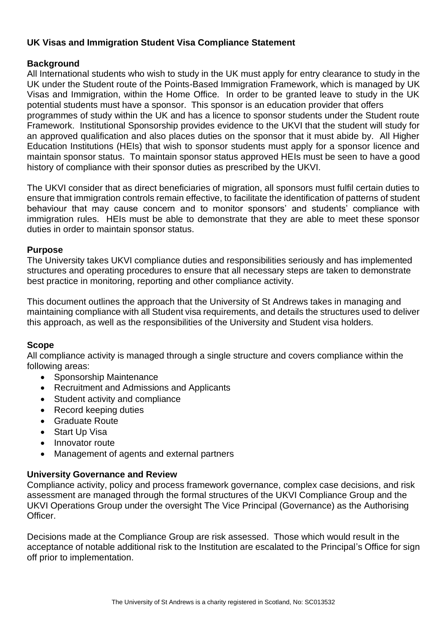# **UK Visas and Immigration Student Visa Compliance Statement**

# **Background**

All International students who wish to study in the UK must apply for entry clearance to study in the UK under the Student route of the Points-Based Immigration Framework, which is managed by UK Visas and Immigration, within the Home Office. In order to be granted leave to study in the UK potential students must have a sponsor. This sponsor is an education provider that offers programmes of study within the UK and has a licence to sponsor students under the Student route Framework. Institutional Sponsorship provides evidence to the UKVI that the student will study for an approved qualification and also places duties on the sponsor that it must abide by. All Higher Education Institutions (HEIs) that wish to sponsor students must apply for a sponsor licence and maintain sponsor status. To maintain sponsor status approved HEIs must be seen to have a good history of compliance with their sponsor duties as prescribed by the UKVI.

The UKVI consider that as direct beneficiaries of migration, all sponsors must fulfil certain duties to ensure that immigration controls remain effective, to facilitate the identification of patterns of student behaviour that may cause concern and to monitor sponsors' and students' compliance with immigration rules. HEIs must be able to demonstrate that they are able to meet these sponsor duties in order to maintain sponsor status.

#### **Purpose**

The University takes UKVI compliance duties and responsibilities seriously and has implemented structures and operating procedures to ensure that all necessary steps are taken to demonstrate best practice in monitoring, reporting and other compliance activity.

This document outlines the approach that the University of St Andrews takes in managing and maintaining compliance with all Student visa requirements, and details the structures used to deliver this approach, as well as the responsibilities of the University and Student visa holders.

#### **Scope**

All compliance activity is managed through a single structure and covers compliance within the following areas:

- Sponsorship Maintenance
- Recruitment and Admissions and Applicants
- Student activity and compliance
- Record keeping duties
- Graduate Route
- Start Up Visa
- Innovator route
- Management of agents and external partners

#### **University Governance and Review**

Compliance activity, policy and process framework governance, complex case decisions, and risk assessment are managed through the formal structures of the UKVI Compliance Group and the UKVI Operations Group under the oversight The Vice Principal (Governance) as the Authorising Officer.

Decisions made at the Compliance Group are risk assessed. Those which would result in the acceptance of notable additional risk to the Institution are escalated to the Principal's Office for sign off prior to implementation.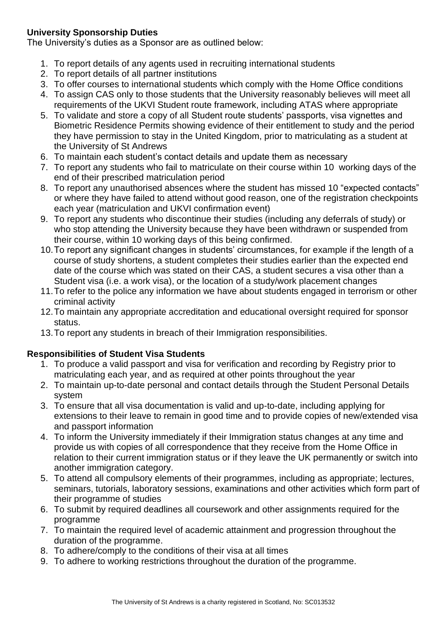# **University Sponsorship Duties**

The University's duties as a Sponsor are as outlined below:

- 1. To report details of any agents used in recruiting international students
- 2. To report details of all partner institutions
- 3. To offer courses to international students which comply with the Home Office conditions
- 4. To assign CAS only to those students that the University reasonably believes will meet all requirements of the UKVI Student route framework, including ATAS where appropriate
- 5. To validate and store a copy of all Student route students' passports, visa vignettes and Biometric Residence Permits showing evidence of their entitlement to study and the period they have permission to stay in the United Kingdom, prior to matriculating as a student at the University of St Andrews
- 6. To maintain each student's contact details and update them as necessary
- 7. To report any students who fail to matriculate on their course within 10 working days of the end of their prescribed matriculation period
- 8. To report any unauthorised absences where the student has missed 10 "expected contacts" or where they have failed to attend without good reason, one of the registration checkpoints each year (matriculation and UKVI confirmation event)
- 9. To report any students who discontinue their studies (including any deferrals of study) or who stop attending the University because they have been withdrawn or suspended from their course, within 10 working days of this being confirmed.
- 10.To report any significant changes in students' circumstances, for example if the length of a course of study shortens, a student completes their studies earlier than the expected end date of the course which was stated on their CAS, a student secures a visa other than a Student visa (i.e. a work visa), or the location of a study/work placement changes
- 11.To refer to the police any information we have about students engaged in terrorism or other criminal activity
- 12.To maintain any appropriate accreditation and educational oversight required for sponsor status.
- 13.To report any students in breach of their Immigration responsibilities.

# **Responsibilities of Student Visa Students**

- 1. To produce a valid passport and visa for verification and recording by Registry prior to matriculating each year, and as required at other points throughout the year
- 2. To maintain up-to-date personal and contact details through the Student Personal Details system
- 3. To ensure that all visa documentation is valid and up-to-date, including applying for extensions to their leave to remain in good time and to provide copies of new/extended visa and passport information
- 4. To inform the University immediately if their Immigration status changes at any time and provide us with copies of all correspondence that they receive from the Home Office in relation to their current immigration status or if they leave the UK permanently or switch into another immigration category.
- 5. To attend all compulsory elements of their programmes, including as appropriate; lectures, seminars, tutorials, laboratory sessions, examinations and other activities which form part of their programme of studies
- 6. To submit by required deadlines all coursework and other assignments required for the programme
- 7. To maintain the required level of academic attainment and progression throughout the duration of the programme.
- 8. To adhere/comply to the conditions of their visa at all times
- 9. To adhere to working restrictions throughout the duration of the programme.